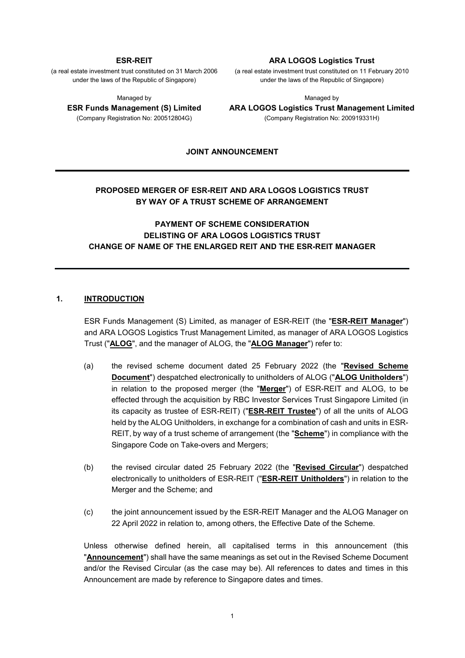#### **ESR-REIT**

(a real estate investment trust constituted on 31 March 2006 under the laws of the Republic of Singapore)

Managed by **ESR Funds Management (S) Limited**  (Company Registration No: 200512804G)

#### **ARA LOGOS Logistics Trust**

(a real estate investment trust constituted on 11 February 2010 under the laws of the Republic of Singapore)

Managed by

**ARA LOGOS Logistics Trust Management Limited**  (Company Registration No: 200919331H)

**JOINT ANNOUNCEMENT** 

### **PROPOSED MERGER OF ESR-REIT AND ARA LOGOS LOGISTICS TRUST BY WAY OF A TRUST SCHEME OF ARRANGEMENT**

### **PAYMENT OF SCHEME CONSIDERATION DELISTING OF ARA LOGOS LOGISTICS TRUST CHANGE OF NAME OF THE ENLARGED REIT AND THE ESR-REIT MANAGER**

#### **1. INTRODUCTION**

ESR Funds Management (S) Limited, as manager of ESR-REIT (the "**ESR-REIT Manager**") and ARA LOGOS Logistics Trust Management Limited, as manager of ARA LOGOS Logistics Trust ("**ALOG**", and the manager of ALOG, the "**ALOG Manager**") refer to:

- (a) the revised scheme document dated 25 February 2022 (the "**Revised Scheme Document**") despatched electronically to unitholders of ALOG ("**ALOG Unitholders**") in relation to the proposed merger (the "**Merger**") of ESR-REIT and ALOG, to be effected through the acquisition by RBC Investor Services Trust Singapore Limited (in its capacity as trustee of ESR-REIT) ("**ESR-REIT Trustee**") of all the units of ALOG held by the ALOG Unitholders, in exchange for a combination of cash and units in ESR-REIT, by way of a trust scheme of arrangement (the "**Scheme**") in compliance with the Singapore Code on Take-overs and Mergers;
- (b) the revised circular dated 25 February 2022 (the "**Revised Circular**") despatched electronically to unitholders of ESR-REIT ("**ESR-REIT Unitholders**") in relation to the Merger and the Scheme; and
- (c) the joint announcement issued by the ESR-REIT Manager and the ALOG Manager on 22 April 2022 in relation to, among others, the Effective Date of the Scheme.

Unless otherwise defined herein, all capitalised terms in this announcement (this "**Announcement**") shall have the same meanings as set out in the Revised Scheme Document and/or the Revised Circular (as the case may be). All references to dates and times in this Announcement are made by reference to Singapore dates and times.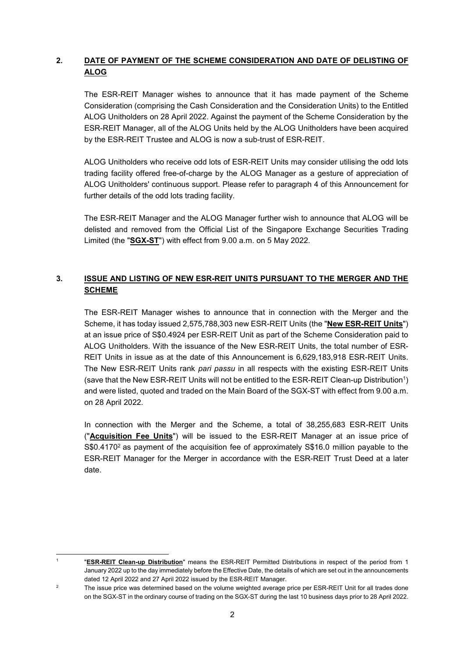# **2. DATE OF PAYMENT OF THE SCHEME CONSIDERATION AND DATE OF DELISTING OF ALOG**

The ESR-REIT Manager wishes to announce that it has made payment of the Scheme Consideration (comprising the Cash Consideration and the Consideration Units) to the Entitled ALOG Unitholders on 28 April 2022. Against the payment of the Scheme Consideration by the ESR-REIT Manager, all of the ALOG Units held by the ALOG Unitholders have been acquired by the ESR-REIT Trustee and ALOG is now a sub-trust of ESR-REIT.

ALOG Unitholders who receive odd lots of ESR-REIT Units may consider utilising the odd lots trading facility offered free-of-charge by the ALOG Manager as a gesture of appreciation of ALOG Unitholders' continuous support. Please refer to paragraph 4 of this Announcement for further details of the odd lots trading facility.

The ESR-REIT Manager and the ALOG Manager further wish to announce that ALOG will be delisted and removed from the Official List of the Singapore Exchange Securities Trading Limited (the "**SGX-ST**") with effect from 9.00 a.m. on 5 May 2022.

# **3. ISSUE AND LISTING OF NEW ESR-REIT UNITS PURSUANT TO THE MERGER AND THE SCHEME**

The ESR-REIT Manager wishes to announce that in connection with the Merger and the Scheme, it has today issued 2,575,788,303 new ESR-REIT Units (the "**New ESR-REIT Units**") at an issue price of S\$0.4924 per ESR-REIT Unit as part of the Scheme Consideration paid to ALOG Unitholders. With the issuance of the New ESR-REIT Units, the total number of ESR-REIT Units in issue as at the date of this Announcement is 6,629,183,918 ESR-REIT Units. The New ESR-REIT Units rank *pari passu* in all respects with the existing ESR-REIT Units (save that the New ESR-REIT Units will not be entitled to the ESR-REIT Clean-up Distribution<sup>1</sup> ) and were listed, quoted and traded on the Main Board of the SGX-ST with effect from 9.00 a.m. on 28 April 2022.

In connection with the Merger and the Scheme, a total of 38,255,683 ESR-REIT Units ("**Acquisition Fee Units**") will be issued to the ESR-REIT Manager at an issue price of S\$0.4170<sup>2</sup> as payment of the acquisition fee of approximately S\$16.0 million payable to the ESR-REIT Manager for the Merger in accordance with the ESR-REIT Trust Deed at a later date.

<u>.</u> 1

 <sup>&</sup>quot;**ESR-REIT Clean-up Distribution**" means the ESR-REIT Permitted Distributions in respect of the period from 1 January 2022 up to the day immediately before the Effective Date, the details of which are set out in the announcements dated 12 April 2022 and 27 April 2022 issued by the ESR-REIT Manager.

 $\overline{2}$  The issue price was determined based on the volume weighted average price per ESR-REIT Unit for all trades done on the SGX-ST in the ordinary course of trading on the SGX-ST during the last 10 business days prior to 28 April 2022.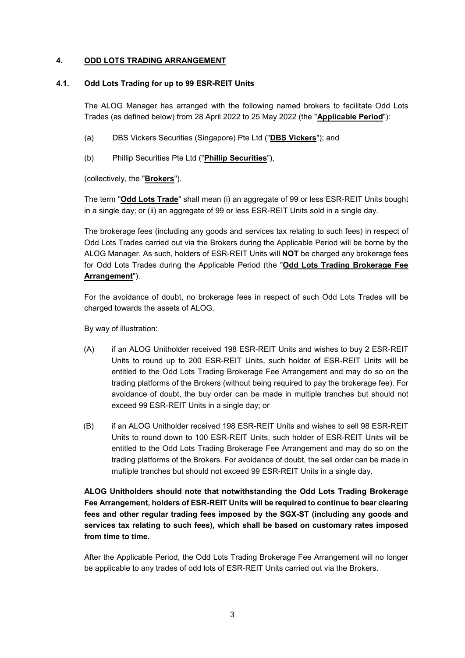### **4. ODD LOTS TRADING ARRANGEMENT**

### **4.1. Odd Lots Trading for up to 99 ESR-REIT Units**

The ALOG Manager has arranged with the following named brokers to facilitate Odd Lots Trades (as defined below) from 28 April 2022 to 25 May 2022 (the "**Applicable Period**"):

- (a) DBS Vickers Securities (Singapore) Pte Ltd ("**DBS Vickers**"); and
- (b) Phillip Securities Pte Ltd ("**Phillip Securities**"),

(collectively, the "**Brokers**").

The term "**Odd Lots Trade**" shall mean (i) an aggregate of 99 or less ESR-REIT Units bought in a single day; or (ii) an aggregate of 99 or less ESR-REIT Units sold in a single day.

The brokerage fees (including any goods and services tax relating to such fees) in respect of Odd Lots Trades carried out via the Brokers during the Applicable Period will be borne by the ALOG Manager. As such, holders of ESR-REIT Units will **NOT** be charged any brokerage fees for Odd Lots Trades during the Applicable Period (the "**Odd Lots Trading Brokerage Fee Arrangement**").

For the avoidance of doubt, no brokerage fees in respect of such Odd Lots Trades will be charged towards the assets of ALOG.

By way of illustration:

- (A) if an ALOG Unitholder received 198 ESR-REIT Units and wishes to buy 2 ESR-REIT Units to round up to 200 ESR-REIT Units, such holder of ESR-REIT Units will be entitled to the Odd Lots Trading Brokerage Fee Arrangement and may do so on the trading platforms of the Brokers (without being required to pay the brokerage fee). For avoidance of doubt, the buy order can be made in multiple tranches but should not exceed 99 ESR-REIT Units in a single day; or
- (B) if an ALOG Unitholder received 198 ESR-REIT Units and wishes to sell 98 ESR-REIT Units to round down to 100 ESR-REIT Units, such holder of ESR-REIT Units will be entitled to the Odd Lots Trading Brokerage Fee Arrangement and may do so on the trading platforms of the Brokers. For avoidance of doubt, the sell order can be made in multiple tranches but should not exceed 99 ESR-REIT Units in a single day.

# **ALOG Unitholders should note that notwithstanding the Odd Lots Trading Brokerage Fee Arrangement, holders of ESR-REIT Units will be required to continue to bear clearing fees and other regular trading fees imposed by the SGX-ST (including any goods and services tax relating to such fees), which shall be based on customary rates imposed from time to time.**

After the Applicable Period, the Odd Lots Trading Brokerage Fee Arrangement will no longer be applicable to any trades of odd lots of ESR-REIT Units carried out via the Brokers.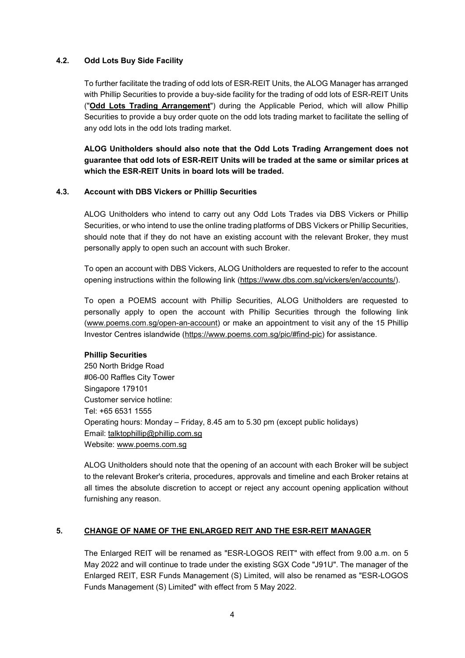### **4.2. Odd Lots Buy Side Facility**

To further facilitate the trading of odd lots of ESR-REIT Units, the ALOG Manager has arranged with Phillip Securities to provide a buy-side facility for the trading of odd lots of ESR-REIT Units ("**Odd Lots Trading Arrangement**") during the Applicable Period, which will allow Phillip Securities to provide a buy order quote on the odd lots trading market to facilitate the selling of any odd lots in the odd lots trading market.

**ALOG Unitholders should also note that the Odd Lots Trading Arrangement does not guarantee that odd lots of ESR-REIT Units will be traded at the same or similar prices at which the ESR-REIT Units in board lots will be traded.** 

#### **4.3. Account with DBS Vickers or Phillip Securities**

ALOG Unitholders who intend to carry out any Odd Lots Trades via DBS Vickers or Phillip Securities, or who intend to use the online trading platforms of DBS Vickers or Phillip Securities, should note that if they do not have an existing account with the relevant Broker, they must personally apply to open such an account with such Broker.

To open an account with DBS Vickers, ALOG Unitholders are requested to refer to the account opening instructions within the following link [\(https://www.dbs.com.sg/vickers/en/accounts/\)](https://www.dbs.com.sg/vickers/en/accounts/).

To open a POEMS account with Phillip Securities, ALOG Unitholders are requested to personally apply to open the account with Phillip Securities through the following link (www.poems.com.sg/open-an-account) or make an appointment to visit any of the 15 Phillip Investor Centres islandwide (https://www.poems.com.sg/pic/#find-pic) for assistance.

#### **Phillip Securities**

250 North Bridge Road #06-00 Raffles City Tower Singapore 179101 Customer service hotline: Tel: +65 6531 1555 Operating hours: Monday – Friday, 8.45 am to 5.30 pm (except public holidays) Email: [talktophillip@phillip.com.sg](mailto:talktophillip@phillip.com.sg) Website: [www.poems.com.sg](http://www.poems.com.sg/)

ALOG Unitholders should note that the opening of an account with each Broker will be subject to the relevant Broker's criteria, procedures, approvals and timeline and each Broker retains at all times the absolute discretion to accept or reject any account opening application without furnishing any reason.

### **5. CHANGE OF NAME OF THE ENLARGED REIT AND THE ESR-REIT MANAGER**

The Enlarged REIT will be renamed as "ESR-LOGOS REIT" with effect from 9.00 a.m. on 5 May 2022 and will continue to trade under the existing SGX Code "J91U". The manager of the Enlarged REIT, ESR Funds Management (S) Limited, will also be renamed as "ESR-LOGOS Funds Management (S) Limited" with effect from 5 May 2022.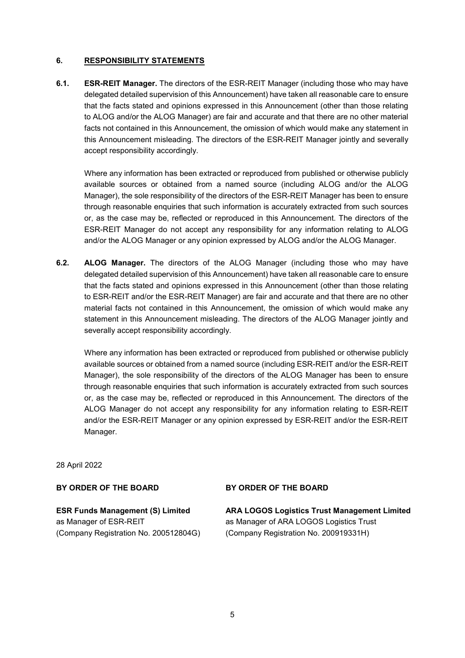### **6. RESPONSIBILITY STATEMENTS**

**6.1. ESR-REIT Manager.** The directors of the ESR-REIT Manager (including those who may have delegated detailed supervision of this Announcement) have taken all reasonable care to ensure that the facts stated and opinions expressed in this Announcement (other than those relating to ALOG and/or the ALOG Manager) are fair and accurate and that there are no other material facts not contained in this Announcement, the omission of which would make any statement in this Announcement misleading. The directors of the ESR-REIT Manager jointly and severally accept responsibility accordingly.

Where any information has been extracted or reproduced from published or otherwise publicly available sources or obtained from a named source (including ALOG and/or the ALOG Manager), the sole responsibility of the directors of the ESR-REIT Manager has been to ensure through reasonable enquiries that such information is accurately extracted from such sources or, as the case may be, reflected or reproduced in this Announcement. The directors of the ESR-REIT Manager do not accept any responsibility for any information relating to ALOG and/or the ALOG Manager or any opinion expressed by ALOG and/or the ALOG Manager.

**6.2. ALOG Manager.** The directors of the ALOG Manager (including those who may have delegated detailed supervision of this Announcement) have taken all reasonable care to ensure that the facts stated and opinions expressed in this Announcement (other than those relating to ESR-REIT and/or the ESR-REIT Manager) are fair and accurate and that there are no other material facts not contained in this Announcement, the omission of which would make any statement in this Announcement misleading. The directors of the ALOG Manager jointly and severally accept responsibility accordingly.

Where any information has been extracted or reproduced from published or otherwise publicly available sources or obtained from a named source (including ESR-REIT and/or the ESR-REIT Manager), the sole responsibility of the directors of the ALOG Manager has been to ensure through reasonable enquiries that such information is accurately extracted from such sources or, as the case may be, reflected or reproduced in this Announcement. The directors of the ALOG Manager do not accept any responsibility for any information relating to ESR-REIT and/or the ESR-REIT Manager or any opinion expressed by ESR-REIT and/or the ESR-REIT Manager.

28 April 2022

#### **BY ORDER OF THE BOARD**

**BY ORDER OF THE BOARD**

**ESR Funds Management (S) Limited**  as Manager of ESR-REIT (Company Registration No. 200512804G) **ARA LOGOS Logistics Trust Management Limited**  as Manager of ARA LOGOS Logistics Trust (Company Registration No. 200919331H)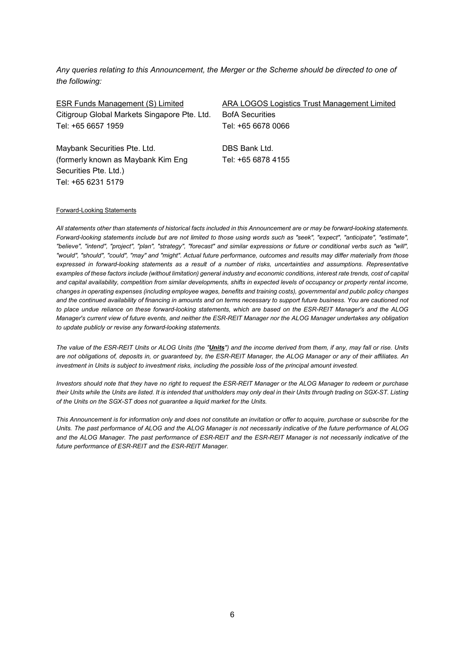*Any queries relating to this Announcement, the Merger or the Scheme should be directed to one of the following:* 

| ESR Funds Management (S) Limited             | ARA LOGOS Logistics Trust Management Limited |
|----------------------------------------------|----------------------------------------------|
| Citigroup Global Markets Singapore Pte. Ltd. | <b>BofA Securities</b>                       |
| Tel: +65 6657 1959                           | Tel: +65 6678 0066                           |
| Maybank Securities Pte. Ltd.                 | DBS Bank Ltd.                                |
| (formerly known as Maybank Kim Eng           | Tel: +65 6878 4155                           |
| Securities Pte. Ltd.)                        |                                              |
| Tel: +65 6231 5179                           |                                              |

#### Forward-Looking Statements

*All statements other than statements of historical facts included in this Announcement are or may be forward-looking statements. Forward-looking statements include but are not limited to those using words such as "seek", "expect", "anticipate", "estimate", "believe", "intend", "project", "plan", "strategy", "forecast" and similar expressions or future or conditional verbs such as "will", "would", "should", "could", "may" and "might". Actual future performance, outcomes and results may differ materially from those expressed in forward-looking statements as a result of a number of risks, uncertainties and assumptions. Representative examples of these factors include (without limitation) general industry and economic conditions, interest rate trends, cost of capital and capital availability, competition from similar developments, shifts in expected levels of occupancy or property rental income, changes in operating expenses (including employee wages, benefits and training costs), governmental and public policy changes and the continued availability of financing in amounts and on terms necessary to support future business. You are cautioned not to place undue reliance on these forward-looking statements, which are based on the ESR-REIT Manager's and the ALOG Manager's current view of future events, and neither the ESR-REIT Manager nor the ALOG Manager undertakes any obligation to update publicly or revise any forward-looking statements.* 

*The value of the ESR-REIT Units or ALOG Units (the "Units") and the income derived from them, if any, may fall or rise. Units are not obligations of, deposits in, or guaranteed by, the ESR-REIT Manager, the ALOG Manager or any of their affiliates. An investment in Units is subject to investment risks, including the possible loss of the principal amount invested.* 

*Investors should note that they have no right to request the ESR-REIT Manager or the ALOG Manager to redeem or purchase their Units while the Units are listed. It is intended that unitholders may only deal in their Units through trading on SGX-ST. Listing of the Units on the SGX-ST does not guarantee a liquid market for the Units.* 

*This Announcement is for information only and does not constitute an invitation or offer to acquire, purchase or subscribe for the Units. The past performance of ALOG and the ALOG Manager is not necessarily indicative of the future performance of ALOG and the ALOG Manager. The past performance of ESR-REIT and the ESR-REIT Manager is not necessarily indicative of the future performance of ESR-REIT and the ESR-REIT Manager.*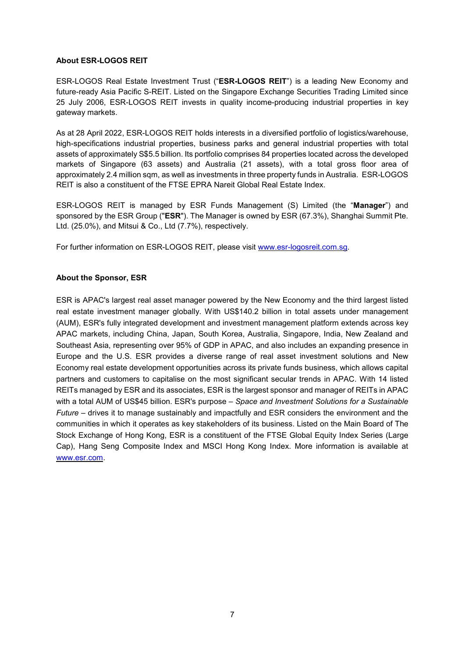#### **About ESR-LOGOS REIT**

ESR-LOGOS Real Estate Investment Trust ("**ESR-LOGOS REIT**") is a leading New Economy and future-ready Asia Pacific S-REIT. Listed on the Singapore Exchange Securities Trading Limited since 25 July 2006, ESR-LOGOS REIT invests in quality income-producing industrial properties in key gateway markets.

As at 28 April 2022, ESR-LOGOS REIT holds interests in a diversified portfolio of logistics/warehouse, high-specifications industrial properties, business parks and general industrial properties with total assets of approximately S\$5.5 billion. Its portfolio comprises 84 properties located across the developed markets of Singapore (63 assets) and Australia (21 assets), with a total gross floor area of approximately 2.4 million sqm, as well as investments in three property funds in Australia. ESR-LOGOS REIT is also a constituent of the FTSE EPRA Nareit Global Real Estate Index.

ESR-LOGOS REIT is managed by ESR Funds Management (S) Limited (the "**Manager**") and sponsored by the ESR Group ("**ESR**"). The Manager is owned by ESR (67.3%), Shanghai Summit Pte. Ltd. (25.0%), and Mitsui & Co., Ltd (7.7%), respectively.

For further information on ESR-LOGOS REIT, please visit [www.esr-logosreit.com.sg.](http://www.esr-logosreit.com.sg/)

#### **About the Sponsor, ESR**

ESR is APAC's largest real asset manager powered by the New Economy and the third largest listed real estate investment manager globally. With US\$140.2 billion in total assets under management (AUM), ESR's fully integrated development and investment management platform extends across key APAC markets, including China, Japan, South Korea, Australia, Singapore, India, New Zealand and Southeast Asia, representing over 95% of GDP in APAC, and also includes an expanding presence in Europe and the U.S. ESR provides a diverse range of real asset investment solutions and New Economy real estate development opportunities across its private funds business, which allows capital partners and customers to capitalise on the most significant secular trends in APAC. With 14 listed REITs managed by ESR and its associates, ESR is the largest sponsor and manager of REITs in APAC with a total AUM of US\$45 billion. ESR's purpose – *Space and Investment Solutions for a Sustainable Future* – drives it to manage sustainably and impactfully and ESR considers the environment and the communities in which it operates as key stakeholders of its business. Listed on the Main Board of The Stock Exchange of Hong Kong, ESR is a constituent of the FTSE Global Equity Index Series (Large Cap), Hang Seng Composite Index and MSCI Hong Kong Index. More information is available at [www.esr.com.](http://www.esr.com/)